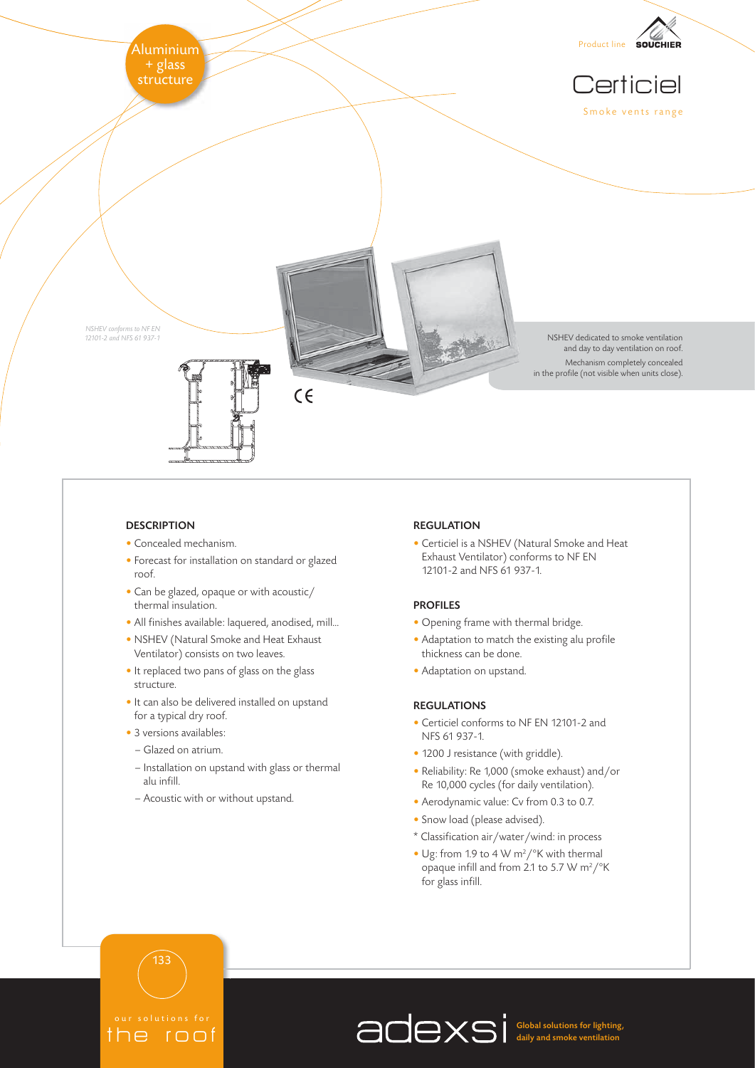

# **DESCRIPTION**

- Concealed mechanism.
- Forecast for installation on standard or glazed roof.
- Can be glazed, opaque or with acoustic/ thermal insulation.
- All finishes available: laquered, anodised, mill...
- NSHEV (Natural Smoke and Heat Exhaust Ventilator) consists on two leaves.
- It replaced two pans of glass on the glass structure.
- It can also be delivered installed on upstand for a typical dry roof.
- 3 versions availables:
	- Glazed on atrium.

 $u$ tions for  $\theta$ the roof

133

- Installation on upstand with glass or thermal alu infill.
- Acoustic with or without upstand.

# REGULATION

• Certiciel is a NSHEV (Natural Smoke and Heat Exhaust Ventilator) conforms to NF EN 12101-2 and NFS 61 937-1.

# PROFILES

- Opening frame with thermal bridge.
- Adaptation to match the existing alu profile thickness can be done.
- Adaptation on upstand.

# REGULATIONS

- Certiciel conforms to NF EN 12101-2 and NFS 61 937-1.
- 1200 J resistance (with griddle).
- Reliability: Re 1,000 (smoke exhaust) and/or Re 10,000 cycles (for daily ventilation).
- Aerodynamic value: Cv from 0.3 to 0.7.
- Snow load (please advised).
- \* Classification air/water/wind: in process
- Ug: from 1.9 to 4 W m<sup>2</sup>/ $\degree$ K with thermal opaque infill and from 2.1 to 5.7 W m<sup>2</sup>/ $\rm ^{\circ}K$ for glass infill.

Global solutions for lighting, daily and smoke ventilation